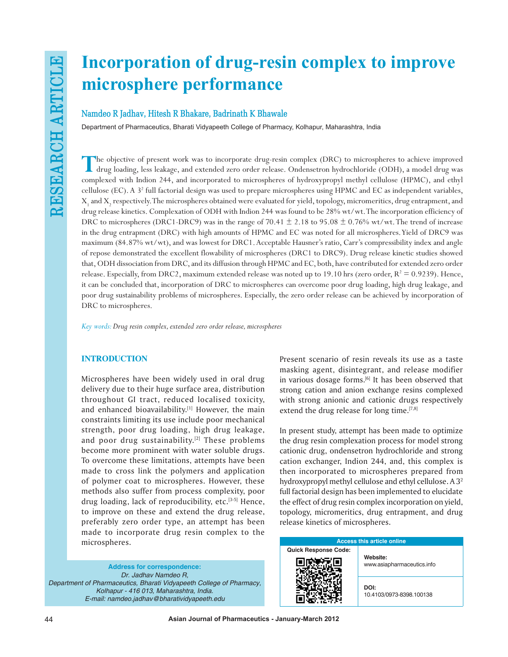# **Incorporation of drug-resin complex to improve microsphere performance**

## **Namdeo R Jadhav, Hitesh R Bhakare, Badrinath K Bhawale**

Department of Pharmaceutics, Bharati Vidyapeeth College of Pharmacy, Kolhapur, Maharashtra, India

The objective of present work was to incorporate drug-resin complex (DRC) to microspheres to achieve improved<br>drug loading, less leakage, and extended zero order release. Ondensetron hydrochloride (ODH), a model drug was<br>c complexed with Indion 244, and incorporated to microspheres of hydroxypropyl methyl cellulose (HPMC), and ethyl cellulose (EC). A 3<sup>2</sup> full factorial design was used to prepare microspheres using HPMC and EC as independent variables,  $X_1$  and  $X_2$  respectively. The microspheres obtained were evaluated for yield, topology, micromeritics, drug entrapment, and drug release kinetics. Complexation of ODH with Indion 244 was found to be 28% wt/wt. The incorporation efficiency of DRC to microspheres (DRC1-DRC9) was in the range of  $70.41 \pm 2.18$  to  $95.08 \pm 0.76\%$  wt/wt. The trend of increase in the drug entrapment (DRC) with high amounts of HPMC and EC was noted for all microspheres. Yield of DRC9 was maximum (84.87% wt/wt), and was lowest for DRC1. Acceptable Hausner's ratio, Carr's compressibility index and angle of repose demonstrated the excellent flowability of microspheres (DRC1 to DRC9). Drug release kinetic studies showed that, ODH dissociation from DRC, and its diffusion through HPMC and EC, both, have contributed for extended zero order release. Especially, from DRC2, maximum extended release was noted up to 19.10 hrs (zero order,  $R^2 = 0.9239$ ). Hence, it can be concluded that, incorporation of DRC to microspheres can overcome poor drug loading, high drug leakage, and poor drug sustainability problems of microspheres. Especially, the zero order release can be achieved by incorporation of DRC to microspheres.

*Key words: Drug resin complex, extended zero order release, microspheres*

## **INTRODUCTION**

Microspheres have been widely used in oral drug delivery due to their huge surface area, distribution throughout GI tract, reduced localised toxicity, and enhanced bioavailability.[1] However, the main constraints limiting its use include poor mechanical strength, poor drug loading, high drug leakage, and poor drug sustainability. $[2]$  These problems become more prominent with water soluble drugs. To overcome these limitations, attempts have been made to cross link the polymers and application of polymer coat to microspheres. However, these methods also suffer from process complexity, poor drug loading, lack of reproducibility, etc.<sup>[3-5]</sup> Hence, to improve on these and extend the drug release, preferably zero order type, an attempt has been made to incorporate drug resin complex to the microspheres.

**Address for correspondence:** *Dr. Jadhav Namdeo R, Department of Pharmaceutics, Bharati Vidyapeeth College of Pharmacy, Kolhapur - 416 013, Maharashtra, India. E-mail: namdeo.jadhav@bharatividyapeeth.edu*

Present scenario of resin reveals its use as a taste masking agent, disintegrant, and release modifier in various dosage forms.<sup>[6]</sup> It has been observed that strong cation and anion exchange resins complexed with strong anionic and cationic drugs respectively extend the drug release for long time.<sup>[7,8]</sup>

In present study, attempt has been made to optimize the drug resin complexation process for model strong cationic drug, ondensetron hydrochloride and strong cation exchanger, Indion 244, and, this complex is then incorporated to microspheres prepared from hydroxypropyl methyl cellulose and ethyl cellulose. A 32 full factorial design has been implemented to elucidate the effect of drug resin complex incorporation on yield, topology, micromeritics, drug entrapment, and drug release kinetics of microspheres.

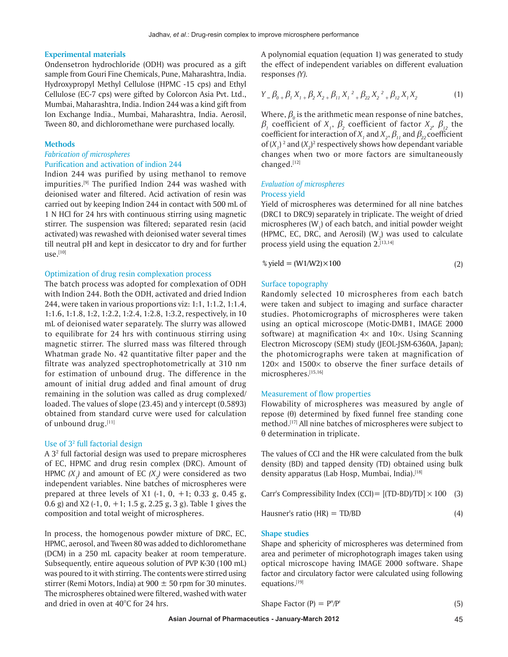#### **Experimental materials**

Ondensetron hydrochloride (ODH) was procured as a gift sample from Gouri Fine Chemicals, Pune, Maharashtra, India. Hydroxypropyl Methyl Cellulose (HPMC -15 cps) and Ethyl Cellulose (EC-7 cps) were gifted by Colorcon Asia Pvt. Ltd., Mumbai, Maharashtra, India. Indion 244 was a kind gift from Ion Exchange India., Mumbai, Maharashtra, India. Aerosil, Tween 80, and dichloromethane were purchased locally.

#### **Methods**

## *Fabrication of microspheres*

## Purification and activation of indion 244

Indion 244 was purified by using methanol to remove impurities.[9] The purified Indion 244 was washed with deionised water and filtered. Acid activation of resin was carried out by keeping Indion 244 in contact with 500 mL of 1 N HCl for 24 hrs with continuous stirring using magnetic stirrer. The suspension was filtered; separated resin (acid activated) was rewashed with deionised water several times till neutral pH and kept in desiccator to dry and for further  $use.<sup>[10]</sup>$ 

## Optimization of drug resin complexation process

The batch process was adopted for complexation of ODH with Indion 244. Both the ODH, activated and dried Indion 244, were taken in various proportions viz: 1:1, 1:1.2, 1:1.4, 1:1.6, 1:1.8, 1:2, 1:2.2, 1:2.4, 1:2.8, 1:3.2, respectively, in 10 mL of deionised water separately. The slurry was allowed to equilibrate for 24 hrs with continuous stirring using magnetic stirrer. The slurred mass was filtered through Whatman grade No. 42 quantitative filter paper and the filtrate was analyzed spectrophotometrically at 310 nm for estimation of unbound drug. The difference in the amount of initial drug added and final amount of drug remaining in the solution was called as drug complexed/ loaded. The values of slope (23.45) and y intercept (0.5893) obtained from standard curve were used for calculation of unbound drug.[11]

## Use of 3<sup>2</sup> full factorial design

A 3<sup>2</sup> full factorial design was used to prepare microspheres of EC, HPMC and drug resin complex (DRC). Amount of HPMC  $(X_1)$  and amount of EC  $(X_2)$  were considered as two independent variables. Nine batches of microspheres were prepared at three levels of  $X1$  (-1, 0, +1; 0.33 g, 0.45 g, 0.6 g) and  $X2$  (-1, 0, +1; 1.5 g, 2.25 g, 3 g). Table 1 gives the composition and total weight of microspheres.

In process, the homogenous powder mixture of DRC, EC, HPMC, aerosol, and Tween 80 was added to dichloromethane (DCM) in a 250 mL capacity beaker at room temperature. Subsequently, entire aqueous solution of PVP K-30 (100 mL) was poured to it with stirring. The contents were stirred using stirrer (Remi Motors, India) at 900  $\pm$  50 rpm for 30 minutes. The microspheres obtained were filtered, washed with water and dried in oven at 40°C for 24 hrs.

A polynomial equation (equation 1) was generated to study the effect of independent variables on different evaluation responses *(Y).*

$$
Y = \beta_{0+} \beta_{1} X_{1+} \beta_{2} X_{2+} \beta_{11} X_{1}^{2} + \beta_{22} X_{2}^{2} + \beta_{12} X_{1} X_{2}
$$
 (1)

Where,  $\beta_{_0}$  is the arithmetic mean response of nine batches,  $\beta$ <sub>1</sub> coefficient of *X*<sub>1</sub>,  $\beta$ <sub>2</sub> coefficient of factor *X*<sub>2</sub>,  $\beta$ <sub>12</sub> the  $\operatorname{coefficient}$  for interaction of  $X^{}_{1}$  and  $X^{}_{2},$   $\beta^{}_{11}$  and  $\beta^{}_{22}$  coefficient of  $(X_1)^2$  and  $(X_2)^2$  respectively shows how dependant variable changes when two or more factors are simultaneously changed.[12]

## *Evaluation of microspheres* Process yield

Yield of microspheres was determined for all nine batches (DRC1 to DRC9) separately in triplicate. The weight of dried microspheres (W<sub>1</sub>) of each batch, and initial powder weight (HPMC, EC, DRC, and Aerosil) ( $W_2$ ) was used to calculate process yield using the equation 2.[13,14]

$$
\% yield = (W1/W2) \times 100 \tag{2}
$$

## Surface topography

Randomly selected 10 microspheres from each batch were taken and subject to imaging and surface character studies. Photomicrographs of microspheres were taken using an optical microscope (Motic-DMB1, IMAGE 2000 software) at magnification  $4\times$  and  $10\times$ . Using Scanning Electron Microscopy (SEM) study (JEOL-JSM-6360A, Japan); the photomicrographs were taken at magnification of  $120\times$  and  $1500\times$  to observe the finer surface details of microspheres.[15,16]

## Measurement of flow properties

Flowability of microspheres was measured by angle of repose  $(\theta)$  determined by fixed funnel free standing cone method.<sup>[17]</sup> All nine batches of microspheres were subject to  $\theta$  determination in triplicate.

The values of CCI and the HR were calculated from the bulk density (BD) and tapped density (TD) obtained using bulk density apparatus (Lab Hosp, Mumbai, India).<sup>[18]</sup>

Carr's Compressibility Index (CCI) =  $[(TD-BD)/TD] \times 100$  (3)

$$
Hausner's ratio (HR) = TD/BD
$$
 (4)

#### **Shape studies**

Shape and sphericity of microspheres was determined from area and perimeter of microphotograph images taken using optical microscope having IMAGE 2000 software. Shape factor and circulatory factor were calculated using following equations.[19]

$$
Shape Factor (P) = P''/P' \tag{5}
$$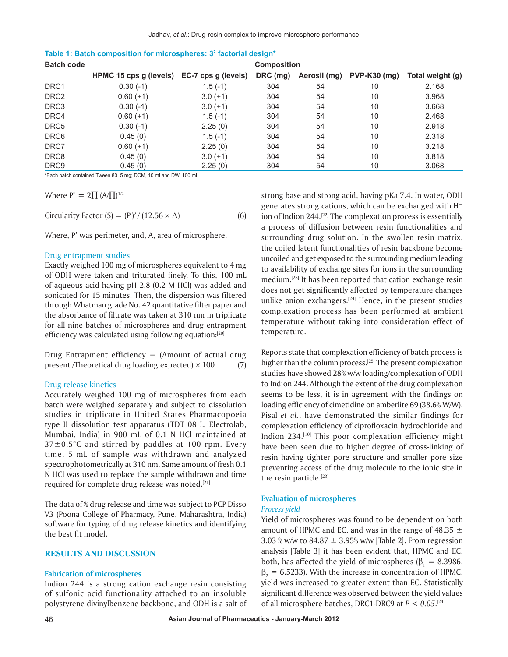| <b>Batch code</b> | <b>Composition</b>     |                     |          |              |                     |                  |  |  |  |  |  |
|-------------------|------------------------|---------------------|----------|--------------|---------------------|------------------|--|--|--|--|--|
|                   | HPMC 15 cps g (levels) | EC-7 cps g (levels) | DRC (mg) | Aerosil (mg) | <b>PVP-K30 (mg)</b> | Total weight (g) |  |  |  |  |  |
| DRC <sub>1</sub>  | $0.30(-1)$             | $1.5(-1)$           | 304      | 54           | 10                  | 2.168            |  |  |  |  |  |
| DRC <sub>2</sub>  | $0.60(+1)$             | $3.0 (+1)$          | 304      | 54           | 10                  | 3.968            |  |  |  |  |  |
| DRC3              | $0.30(-1)$             | $3.0 (+1)$          | 304      | 54           | 10                  | 3.668            |  |  |  |  |  |
| DRC4              | $0.60(+1)$             | $1.5(-1)$           | 304      | 54           | 10                  | 2.468            |  |  |  |  |  |
| DRC5              | $0.30(-1)$             | 2.25(0)             | 304      | 54           | 10                  | 2.918            |  |  |  |  |  |
| DRC6              | 0.45(0)                | $1.5(-1)$           | 304      | 54           | 10                  | 2.318            |  |  |  |  |  |
| DRC7              | $0.60(+1)$             | 2.25(0)             | 304      | 54           | 10                  | 3.218            |  |  |  |  |  |
| DRC <sub>8</sub>  | 0.45(0)                | $3.0(+1)$           | 304      | 54           | 10                  | 3.818            |  |  |  |  |  |
| DRC <sub>9</sub>  | 0.45(0)                | 2.25(0)             | 304      | 54           | 10                  | 3.068            |  |  |  |  |  |

**Table 1: Batch composition for microspheres: 32 factorial design\***

\*Each batch contained Tween 80, 5 mg; DCM, 10 ml and DW, 100 ml

Where  $P'' = 2\prod (A/\prod)^{1/2}$ 

Circularity Factor  $(S) = (P')^2 / (12.56 \times A)$  (6)

Where, P' was perimeter, and, A, area of microsphere.

## Drug entrapment studies

Exactly weighed 100 mg of microspheres equivalent to 4 mg of ODH were taken and triturated finely. To this, 100 mL of aqueous acid having pH 2.8 (0.2 M HCl) was added and sonicated for 15 minutes. Then, the dispersion was filtered through Whatman grade No. 42 quantitative filter paper and the absorbance of filtrate was taken at 310 nm in triplicate for all nine batches of microspheres and drug entrapment efficiency was calculated using following equation:[20]

Drug Entrapment efficiency  $=$  (Amount of actual drug present /Theoretical drug loading expected)  $\times$  100 (7)

#### Drug release kinetics

Accurately weighed 100 mg of microspheres from each batch were weighed separately and subject to dissolution studies in triplicate in United States Pharmacopoeia type II dissolution test apparatus (TDT 08 L, Electrolab, Mumbai, India) in 900 mL of 0.1 N HCl maintained at  $37 \pm 0.5^{\circ}$ C and stirred by paddles at 100 rpm. Every time, 5 mL of sample was withdrawn and analyzed spectrophotometrically at 310 nm. Same amount of fresh 0.1 N HCl was used to replace the sample withdrawn and time required for complete drug release was noted.<sup>[21]</sup>

The data of % drug release and time was subject to PCP Disso V3 (Poona College of Pharmacy, Pune, Maharashtra, India) software for typing of drug release kinetics and identifying the best fit model.

## **RESULTS AND DISCUSSION**

## **Fabrication of microspheres**

Indion 244 is a strong cation exchange resin consisting of sulfonic acid functionality attached to an insoluble polystyrene divinylbenzene backbone, and ODH is a salt of strong base and strong acid, having pKa 7.4. In water, ODH generates strong cations, which can be exchanged with  $H^+$ ion of Indion 244.<sup>[22]</sup> The complexation process is essentially a process of diffusion between resin functionalities and surrounding drug solution. In the swollen resin matrix, the coiled latent functionalities of resin backbone become uncoiled and get exposed to the surrounding medium leading to availability of exchange sites for ions in the surrounding medium.[23] It has been reported that cation exchange resin does not get significantly affected by temperature changes unlike anion exchangers. $[24]$  Hence, in the present studies complexation process has been performed at ambient temperature without taking into consideration effect of temperature.

Reports state that complexation efficiency of batch process is higher than the column process.<sup>[25]</sup> The present complexation studies have showed 28% w/w loading/complexation of ODH to Indion 244. Although the extent of the drug complexation seems to be less, it is in agreement with the findings on loading efficiency of cimetidine on amberlite 69 (38.6% W/W). Pisal *et al.*, have demonstrated the similar findings for complexation efficiency of ciprofloxacin hydrochloride and Indion 234.[10] This poor complexation efficiency might have been seen due to higher degree of cross-linking of resin having tighter pore structure and smaller pore size preventing access of the drug molecule to the ionic site in the resin particle.<sup>[23]</sup>

## **Evaluation of microspheres**

#### *Process yield*

Yield of microspheres was found to be dependent on both amount of HPMC and EC, and was in the range of 48.35  $\pm$ 3.03 % w/w to  $84.87 \pm 3.95$ % w/w [Table 2]. From regression analysis [Table 3] it has been evident that, HPMC and EC, both, has affected the yield of microspheres ( $\beta_1 = 8.3986$ ,  $\beta_2$  = 6.5233). With the increase in concentration of HPMC, yield was increased to greater extent than EC. Statistically significant difference was observed between the yield values of all microsphere batches, DRC1-DRC9 at *P < 0.05*. [24]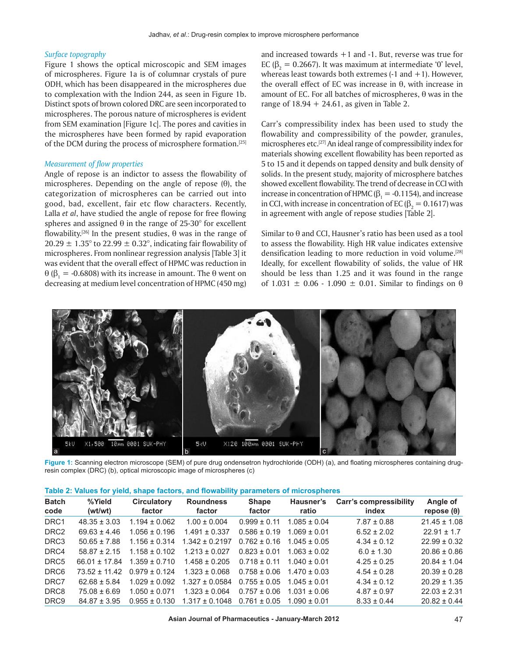## *Surface topography*

Figure 1 shows the optical microscopic and SEM images of microspheres. Figure 1a is of columnar crystals of pure ODH, which has been disappeared in the microspheres due to complexation with the Indion 244, as seen in Figure 1b. Distinct spots of brown colored DRC are seen incorporated to microspheres. The porous nature of microspheres is evident from SEM examination [Figure 1c]. The pores and cavities in the microspheres have been formed by rapid evaporation of the DCM during the process of microsphere formation.[25]

## *Measurement of flow properties*

Angle of repose is an indictor to assess the flowability of microspheres. Depending on the angle of repose  $(\theta)$ , the categorization of microspheres can be carried out into good, bad, excellent, fair etc flow characters. Recently, Lalla *et al*, have studied the angle of repose for free flowing spheres and assigned  $\theta$  in the range of 25-30° for excellent flowability.<sup>[26]</sup> In the present studies,  $\theta$  was in the range of  $20.29 \pm 1.35^{\circ}$  to  $22.99 \pm 0.32^{\circ}$ , indicating fair flowability of microspheres. From nonlinear regression analysis [Table 3] it was evident that the overall effect of HPMC was reduction in  $\theta$  ( $\beta_1$  = -0.6808) with its increase in amount. The  $\theta$  went on decreasing at medium level concentration of HPMC (450 mg) and increased towards  $+1$  and  $-1$ . But, reverse was true for EC ( $\beta_2$  = 0.2667). It was maximum at intermediate '0' level, whereas least towards both extremes  $(-1)$  and  $+1$ ). However, the overall effect of EC was increase in  $\theta$ , with increase in amount of EC. For all batches of microspheres,  $\theta$  was in the range of  $18.94 + 24.61$ , as given in Table 2.

Carr's compressibility index has been used to study the flowability and compressibility of the powder, granules, microspheres etc.[27] An ideal range of compressibility index for materials showing excellent flowability has been reported as 5 to 15 and it depends on tapped density and bulk density of solids. In the present study, majority of microsphere batches showed excellent flowability. The trend of decrease in CCI with increase in concentration of HPMC ( $\beta_1 = -0.1154$ ), and increase in CCI, with increase in concentration of EC ( $\beta$ , = 0.1617) was in agreement with angle of repose studies [Table 2].

Similar to  $\theta$  and CCI, Hausner's ratio has been used as a tool to assess the flowability. High HR value indicates extensive densification leading to more reduction in void volume.[28] Ideally, for excellent flowability of solids, the value of HR should be less than 1.25 and it was found in the range of 1.031  $\pm$  0.06 - 1.090  $\pm$  0.01. Similar to findings on  $\theta$ 



**Figure 1:** Scanning electron microscope (SEM) of pure drug ondensetron hydrochloride (ODH) (a), and floating microspheres containing drugresin complex (DRC) (b), optical microscopic image of microspheres (c)

|  |  | Table 2: Values for yield, shape factors, and flowability parameters of microspheres |  |
|--|--|--------------------------------------------------------------------------------------|--|
|--|--|--------------------------------------------------------------------------------------|--|

| <b>Batch</b><br>code | %Yield<br>(wt/wt) | <b>Circulatory</b><br>factor | <b>Roundness</b><br>factor | <b>Shape</b><br>factor | Hausner's<br>ratio                | <b>Carr's compressibility</b><br>index | Angle of<br>repose $(\theta)$ |
|----------------------|-------------------|------------------------------|----------------------------|------------------------|-----------------------------------|----------------------------------------|-------------------------------|
| DRC <sub>1</sub>     | $48.35 \pm 3.03$  | $1.194 \pm 0.062$            | $1.00 \pm 0.004$           | $0.999 \pm 0.11$       | $1.085 \pm 0.04$                  | $7.87 \pm 0.88$                        | $21.45 \pm 1.08$              |
| DRC <sub>2</sub>     | $69.63 + 4.46$    | $1.056 \pm 0.196$            | $1.491 \pm 0.337$          | $0.586 \pm 0.19$       | $1.069 + 0.01$                    | $6.52 \pm 2.02$                        | $22.91 \pm 1.7$               |
| DRC3                 | $50.65 \pm 7.88$  | $1.156 \pm 0.314$            | $1.342 \pm 0.2197$         | $0.762 \pm 0.16$       | $1.045 \pm 0.05$                  | $4.34 \pm 0.12$                        | $22.99 \pm 0.32$              |
| DRC4                 | $58.87 + 2.15$    | $1.158 \pm 0.102$            | $1.213 \pm 0.027$          | $0.823 \pm 0.01$       | $1.063 \pm 0.02$                  | $6.0 \pm 1.30$                         | $20.86 \pm 0.86$              |
| DRC5                 | $66.01 + 17.84$   | $1.359 \pm 0.710$            | $1.458 \pm 0.205$          | $0.718 \pm 0.11$       | $1.040 + 0.01$                    | $4.25 \pm 0.25$                        | $20.84 \pm 1.04$              |
| DRC <sub>6</sub>     | $73.52 + 11.42$   | $0.979 \pm 0.124$            | $1.323 \pm 0.068$          |                        | $0.758 \pm 0.06$ 1.470 $\pm$ 0.03 | $4.54 \pm 0.28$                        | $20.39 \pm 0.28$              |
| DRC7                 | $62.68 + 5.84$    | $1.029 \pm 0.092$            | $1.327 \pm 0.0584$         | $0.755 \pm 0.05$       | $1.045 + 0.01$                    | $4.34 \pm 0.12$                        | $20.29 \pm 1.35$              |
| DRC8                 | $75.08 \pm 6.69$  | $1.050 \pm 0.071$            | $1.323 \pm 0.064$          | $0.757 \pm 0.06$       | $1.031 + 0.06$                    | $4.87 \pm 0.97$                        | $22.03 \pm 2.31$              |
| DRC <sub>9</sub>     | $84.87 \pm 3.95$  | $0.955 \pm 0.130$            | $1.317 \pm 0.1048$         | $0.761 \pm 0.05$       | $1.090 + 0.01$                    | $8.33 \pm 0.44$                        | $20.82 \pm 0.44$              |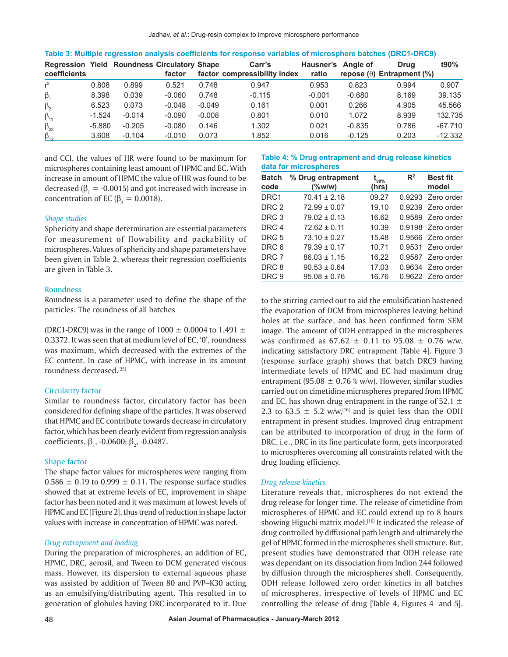| <b>Regression Yield Roundness Circulatory Shape</b><br>coefficients |          |          | factor   |          | Carr's<br>factor compressibility index | Hausner's Angle of<br>ratio |          | Drua<br>repose $(\theta)$ Entrapment $(\%)$ | t90%      |
|---------------------------------------------------------------------|----------|----------|----------|----------|----------------------------------------|-----------------------------|----------|---------------------------------------------|-----------|
| $r^2$                                                               | 0.808    | 0.899    | 0.521    | 0.748    | 0.947                                  | 0.953                       | 0.823    | 0.994                                       | 0.907     |
| $\beta_1$                                                           | 8.398    | 0.039    | $-0.060$ | 0.748    | $-0.115$                               | $-0.001$                    | $-0.680$ | 8.169                                       | 39.135    |
| $\beta_{2}$                                                         | 6.523    | 0.073    | $-0.048$ | $-0.049$ | 0.161                                  | 0.001                       | 0.266    | 4.905                                       | 45.566    |
| $\beta_{11}$                                                        | $-1.524$ | $-0.014$ | $-0.090$ | $-0.008$ | 0.801                                  | 0.010                       | 1.072    | 8.939                                       | 132.735   |
| $\beta_{22}$                                                        | $-5.880$ | $-0.205$ | $-0.080$ | 0.146    | 1.302                                  | 0.021                       | $-0.835$ | 0.786                                       | $-67.710$ |
| $\beta_{12}$                                                        | 3.608    | $-0.104$ | $-0.010$ | 0.073    | 1.852                                  | 0.016                       | $-0.125$ | 0.203                                       | $-12.332$ |

**Table 3: Multiple regression analysis coefficients for response variables of microsphere batches (DRC1-DRC9)**

and CCI, the values of HR were found to be maximum for microspheres containing least amount of HPMC and EC. With increase in amount of HPMC the value of HR was found to be decreased ( $\beta_1 = -0.0015$ ) and got increased with increase in concentration of EC ( $\beta_2 = 0.0018$ ).

## *Shape studies*

Sphericity and shape determination are essential parameters for measurement of flowability and packability of microspheres. Values of sphericity and shape parameters have been given in Table 2, whereas their regression coefficients are given in Table 3.

## Roundness

Roundness is a parameter used to define the shape of the particles. The roundness of all batches

(DRC1-DRC9) was in the range of 1000  $\pm$  0.0004 to 1.491  $\pm$ 0.3372. It was seen that at medium level of EC, '0', roundness was maximum, which decreased with the extremes of the EC content. In case of HPMC, with increase in its amount roundness decreased.[25]

## Circularity factor

Similar to roundness factor, circulatory factor has been considered for defining shape of the particles. It was observed that HPMC and EC contribute towards decrease in circulatory factor, which has been clearly evident from regression analysis coefficients,  $\beta_1$ , -0.0600;  $\beta_2$ , -0.0487.

#### Shape factor

The shape factor values for microspheres were ranging from  $0.586 \pm 0.19$  to  $0.999 \pm 0.11$ . The response surface studies showed that at extreme levels of EC, improvement in shape factor has been noted and it was maximum at lowest levels of HPMC and EC [Figure 2], thus trend of reduction in shape factor values with increase in concentration of HPMC was noted.

## *Drug entrapment and loading*

During the preparation of microspheres, an addition of EC, HPMC, DRC, aerosil, and Tween to DCM generated viscous mass. However, its dispersion to external aqueous phase was assisted by addition of Tween 80 and PVP–K30 acting as an emulsifying/distributing agent. This resulted in to generation of globules having DRC incorporated to it. Due

#### **Table 4: % Drug entrapment and drug release kinetics data for microspheres**

| <b>Batch</b><br>code | % Drug entrapment<br>$(\%w/w)$ | $\mathbf{t}_{\mathsf{90\%}}$<br>(hrs) | $\mathbb{R}^2$ | <b>Best fit</b><br>model |
|----------------------|--------------------------------|---------------------------------------|----------------|--------------------------|
| DRC <sub>1</sub>     | $70.41 \pm 2.18$               | 09.27                                 |                | 0.9293 Zero order        |
| DRC <sub>2</sub>     | $72.99 \pm 0.07$               | 19.10                                 |                | 0.9239 Zero order        |
| DRC <sub>3</sub>     | $79.02 \pm 0.13$               | 16.62                                 |                | 0.9589 Zero order        |
| DRC <sub>4</sub>     | $72.62 \pm 0.11$               | 10.39                                 |                | 0.9198 Zero order        |
| DRC <sub>5</sub>     | $73.10 \pm 0.27$               | 15.48                                 |                | 0.9566 Zero order        |
| DRC <sub>6</sub>     | $79.39 \pm 0.17$               | 10.71                                 |                | 0.9531 Zero order        |
| DRC <sub>7</sub>     | $86.03 \pm 1.15$               | 16.22                                 |                | 0.9587 Zero order        |
| DRC <sub>8</sub>     | $90.53 \pm 0.64$               | 17.03                                 |                | 0.9634 Zero order        |
| DRC <sub>9</sub>     | $95.08 \pm 0.76$               | 16.76                                 |                | 0.9622 Zero order        |

to the stirring carried out to aid the emulsification hastened the evaporation of DCM from microspheres leaving behind holes at the surface, and has been confirmed form SEM image. The amount of ODH entrapped in the microspheres was confirmed as  $67.62 \pm 0.11$  to  $95.08 \pm 0.76$  w/w, indicating satisfactory DRC entrapment [Table 4]. Figure 3 (response surface graph) shows that batch DRC9 having intermediate levels of HPMC and EC had maximum drug entrapment (95.08  $\pm$  0.76 % w/w). However, similar studies carried out on cimetidine microspheres prepared from HPMC and EC, has shown drug entrapment in the range of 52.1  $\pm$ 2.3 to 63.5  $\pm$  5.2 w/w,<sup>[16]</sup> and is quiet less than the ODH entrapment in present studies. Improved drug entrapment can be attributed to incorporation of drug in the form of DRC, i.e., DRC in its fine particulate form, gets incorporated to microspheres overcoming all constraints related with the drug loading efficiency.

#### *Drug release kinetics*

Literature reveals that, microspheres do not extend the drug release for longer time. The release of cimetidine from microspheres of HPMC and EC could extend up to 8 hours showing Higuchi matrix model.<sup>[16]</sup> It indicated the release of drug controlled by diffusional path length and ultimately the gel of HPMC formed in the microspheres shell structure. But, present studies have demonstrated that ODH release rate was dependant on its dissociation from Indion 244 followed by diffusion through the microspheres shell. Consequently, ODH release followed zero order kinetics in all batches of microspheres, irrespective of levels of HPMC and EC controlling the release of drug [Table 4, Figures 4 and 5].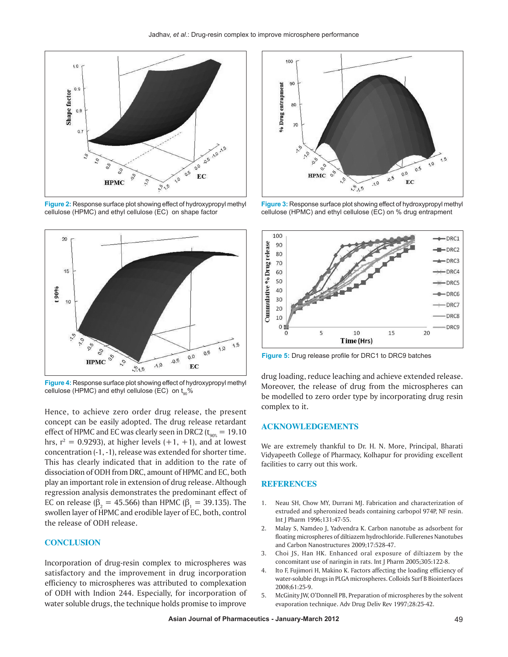

**Figure 2:** Response surface plot showing effect of hydroxypropyl methyl cellulose (HPMC) and ethyl cellulose (EC) on shape factor



**Figure 4:** Response surface plot showing effect of hydroxypropyl methyl cellulose (HPMC) and ethyl cellulose (EC) on  $t_{\text{on}}$ %

Hence, to achieve zero order drug release, the present concept can be easily adopted. The drug release retardant effect of HPMC and EC was clearly seen in DRC2 ( $t_{90\%}$  = 19.10 hrs,  $r^2 = 0.9293$ , at higher levels  $(+1, +1)$ , and at lowest concentration (-1, -1), release was extended for shorter time. This has clearly indicated that in addition to the rate of dissociation of ODH from DRC, amount of HPMC and EC, both play an important role in extension of drug release. Although regression analysis demonstrates the predominant effect of EC on release (β<sub>2</sub> = 45.566) than HPMC (β<sub>1</sub> = 39.135). The swollen layer of HPMC and erodible layer of EC, both, control the release of ODH release.

## **CONCLUSION**

Incorporation of drug-resin complex to microspheres was satisfactory and the improvement in drug incorporation efficiency to microspheres was attributed to complexation of ODH with Indion 244. Especially, for incorporation of water soluble drugs, the technique holds promise to improve



**Figure 3:** Response surface plot showing effect of hydroxypropyl methyl cellulose (HPMC) and ethyl cellulose (EC) on % drug entrapment



**Figure 5:** Drug release profile for DRC1 to DRC9 batches

drug loading, reduce leaching and achieve extended release. Moreover, the release of drug from the microspheres can be modelled to zero order type by incorporating drug resin complex to it.

## **ACKNOWLEDGEMENTS**

We are extremely thankful to Dr. H. N. More, Principal, Bharati Vidyapeeth College of Pharmacy, Kolhapur for providing excellent facilities to carry out this work.

### **REFERENCES**

- 1. Neau SH, Chow MY, Durrani MJ. Fabrication and characterization of extruded and spheronized beads containing carbopol 974P, NF resin. Int J Pharm 1996;131:47-55.
- 2. Malay S, Namdeo J, Yadvendra K. Carbon nanotube as adsorbent for floating microspheres of diltiazem hydrochloride. Fullerenes Nanotubes and Carbon Nanostructures 2009;17:528-47.
- 3. Choi JS, Han HK. Enhanced oral exposure of diltiazem by the concomitant use of naringin in rats. Int J Pharm 2005;305:122-8.
- 4. Ito F, Fujimori H, Makino K. Factors affecting the loading efficiency of water-soluble drugs in PLGA microspheres. Colloids Surf B Biointerfaces 2008;61:25-9.
- 5. McGinity JW, O'Donnell PB, Preparation of microspheres by the solvent evaporation technique. Adv Drug Deliv Rev 1997;28:25-42.